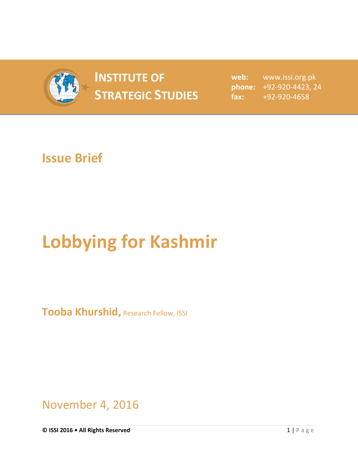

## **INSTITUTE OF STRATEGIC STUDIES**  $_{\text{fast:}}$

**web:** www.issi.org.pk **phone:** +92-920-4423, 24 **fax:** +92-920-4658

## **Issue Brief**

## **Lobbying for Kashmir**

**Tooba Khurshid,** Research Fellow, ISSI

November 4, 2016

**© ISSI 2016 • All Rights Reserved** 1 | P a g e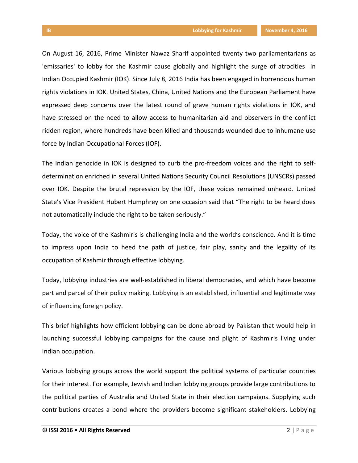On August 16, 2016, Prime Minister Nawaz Sharif appointed twenty two parliamentarians as 'emissaries' to lobby for the Kashmir cause globally and highlight the surge of atrocities in Indian Occupied Kashmir (IOK). Since July 8, 2016 India has been engaged in horrendous human rights violations in IOK. United States, China, United Nations and the European Parliament have expressed deep concerns over the latest round of grave human rights violations in IOK, and have stressed on the need to allow access to humanitarian aid and observers in the conflict ridden region, where hundreds have been killed and thousands wounded due to inhumane use force by Indian Occupational Forces (IOF).

The Indian genocide in IOK is designed to curb the pro-freedom voices and the right to selfdetermination enriched in several United Nations Security Council Resolutions (UNSCRs) passed over IOK. Despite the brutal repression by the IOF, these voices remained unheard. United State's Vice President Hubert Humphrey on one occasion said that "The right to be heard does not automatically include the right to be taken seriously."

Today, the voice of the Kashmiris is challenging India and the world's conscience. And it is time to impress upon India to heed the path of justice, fair play, sanity and the legality of its occupation of Kashmir through effective lobbying.

Today, lobbying industries are well-established in liberal democracies, and which have become part and parcel of their policy making. Lobbying is an established, influential and legitimate way of influencing foreign policy.

This brief highlights how efficient lobbying can be done abroad by Pakistan that would help in launching successful lobbying campaigns for the cause and plight of Kashmiris living under Indian occupation.

Various lobbying groups across the world support the political systems of particular countries for their interest. For example, Jewish and Indian lobbying groups provide large contributions to the political parties of Australia and United State in their election campaigns. Supplying such contributions creates a bond where the providers become significant stakeholders. Lobbying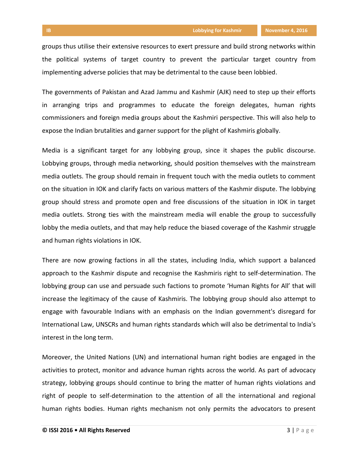groups thus utilise their extensive resources to exert pressure and build strong networks within the political systems of target country to prevent the particular target country from implementing adverse policies that may be detrimental to the cause been lobbied.

The governments of Pakistan and Azad Jammu and Kashmir (AJK) need to step up their efforts in arranging trips and programmes to educate the foreign delegates, human rights commissioners and foreign media groups about the Kashmiri perspective. This will also help to expose the Indian brutalities and garner support for the plight of Kashmiris globally.

Media is a significant target for any lobbying group, since it shapes the public discourse. Lobbying groups, through media networking, should position themselves with the mainstream media outlets. The group should remain in frequent touch with the media outlets to comment on the situation in IOK and clarify facts on various matters of the Kashmir dispute. The lobbying group should stress and promote open and free discussions of the situation in IOK in target media outlets. Strong ties with the mainstream media will enable the group to successfully lobby the media outlets, and that may help reduce the biased coverage of the Kashmir struggle and human rights violations in IOK.

There are now growing factions in all the states, including India, which support a balanced approach to the Kashmir dispute and recognise the Kashmiris right to self-determination. The lobbying group can use and persuade such factions to promote 'Human Rights for All' that will increase the legitimacy of the cause of Kashmiris. The lobbying group should also attempt to engage with favourable Indians with an emphasis on the Indian government's disregard for International Law, UNSCRs and human rights standards which will also be detrimental to India's interest in the long term.

Moreover, the United Nations (UN) and international human right bodies are engaged in the activities to protect, monitor and advance human rights across the world. As part of advocacy strategy, lobbying groups should continue to bring the matter of human rights violations and right of people to self-determination to the attention of all the international and regional human rights bodies. Human rights mechanism not only permits the advocators to present